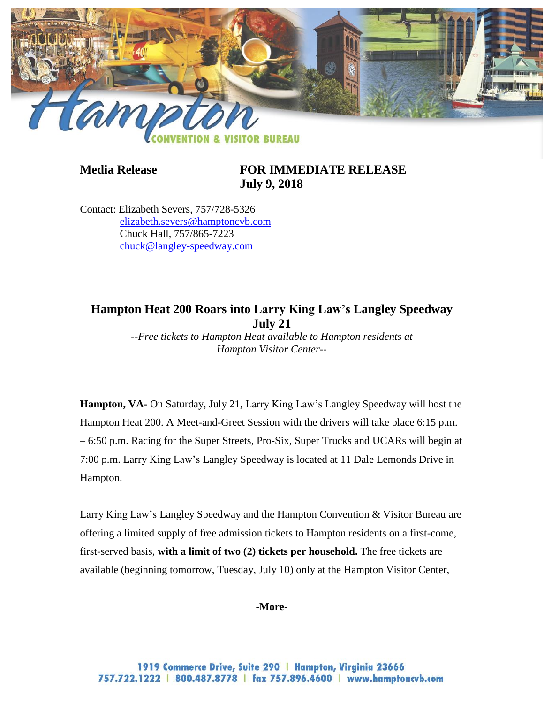

## **Media Release FOR IMMEDIATE RELEASE July 9, 2018**

Contact: Elizabeth Severs, 757/728-5326 [elizabeth.severs@hamptoncvb.com](mailto:elizabeth.severs@hamptoncvb.com) Chuck Hall, 757/865-7223 [chuck@langley-speedway.com](mailto:chuck@langley-speedway.com)

# **Hampton Heat 200 Roars into Larry King Law's Langley Speedway July 21**

*--Free tickets to Hampton Heat available to Hampton residents at Hampton Visitor Center--*

**Hampton, VA-** On Saturday, July 21, Larry King Law's Langley Speedway will host the Hampton Heat 200. A Meet-and-Greet Session with the drivers will take place 6:15 p.m. – 6:50 p.m. Racing for the Super Streets, Pro-Six, Super Trucks and UCARs will begin at 7:00 p.m. Larry King Law's Langley Speedway is located at 11 Dale Lemonds Drive in Hampton.

Larry King Law's Langley Speedway and the Hampton Convention & Visitor Bureau are offering a limited supply of free admission tickets to Hampton residents on a first-come, first-served basis, **with a limit of two (2) tickets per household.** The free tickets are available (beginning tomorrow, Tuesday, July 10) only at the Hampton Visitor Center,

### **-More-**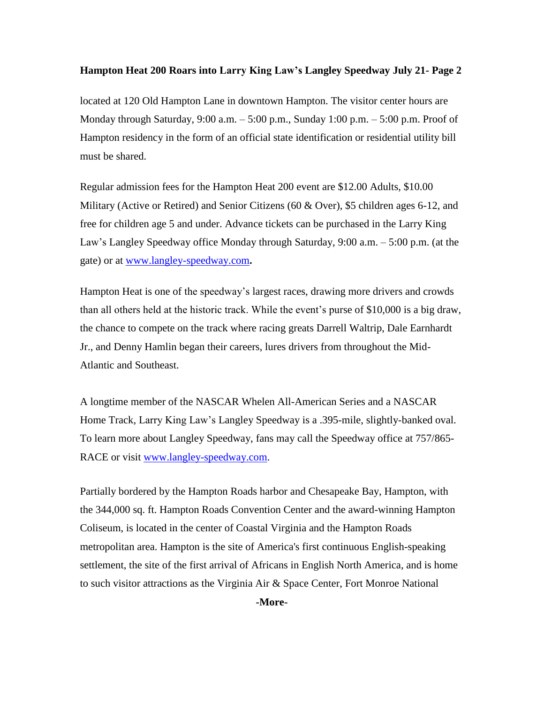### **Hampton Heat 200 Roars into Larry King Law's Langley Speedway July 21- Page 2**

located at 120 Old Hampton Lane in downtown Hampton. The visitor center hours are Monday through Saturday, 9:00 a.m. – 5:00 p.m., Sunday 1:00 p.m. – 5:00 p.m. Proof of Hampton residency in the form of an official state identification or residential utility bill must be shared.

Regular admission fees for the Hampton Heat 200 event are \$12.00 Adults, \$10.00 Military (Active or Retired) and Senior Citizens (60 & Over), \$5 children ages 6-12, and free for children age 5 and under. Advance tickets can be purchased in the Larry King Law's Langley Speedway office Monday through Saturday, 9:00 a.m. – 5:00 p.m. (at the gate) or at [www.langley-speedway.com](http://www.langley-speedway.com/)**.**

Hampton Heat is one of the speedway's largest races, drawing more drivers and crowds than all others held at the historic track. While the event's purse of \$10,000 is a big draw, the chance to compete on the track where racing greats Darrell Waltrip, Dale Earnhardt Jr., and Denny Hamlin began their careers, lures drivers from throughout the Mid-Atlantic and Southeast.

A longtime member of the NASCAR Whelen All-American Series and a NASCAR Home Track, Larry King Law's Langley Speedway is a .395-mile, slightly-banked oval. To learn more about Langley Speedway, fans may call the Speedway office at 757/865 RACE or visit [www.langley-speedway.com.](http://www.langley-speedway.com/)

Partially bordered by the Hampton Roads harbor and Chesapeake Bay, Hampton, with the 344,000 sq. ft. Hampton Roads Convention Center and the award-winning Hampton Coliseum, is located in the center of Coastal Virginia and the Hampton Roads metropolitan area. Hampton is the site of America's first continuous English-speaking settlement, the site of the first arrival of Africans in English North America, and is home to such visitor attractions as the Virginia Air & Space Center, Fort Monroe National

**-More-**